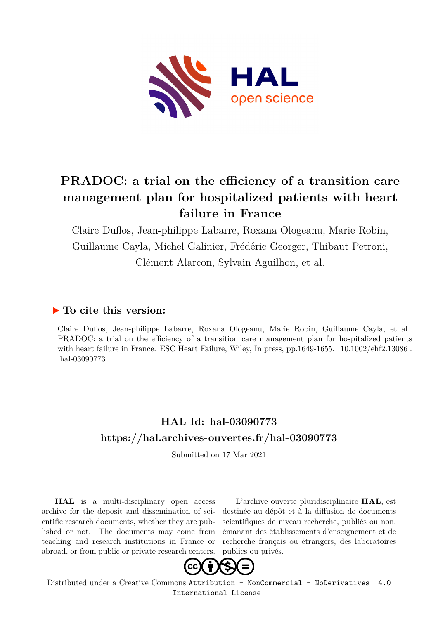

# **PRADOC: a trial on the efficiency of a transition care management plan for hospitalized patients with heart failure in France**

Claire Duflos, Jean-philippe Labarre, Roxana Ologeanu, Marie Robin, Guillaume Cayla, Michel Galinier, Frédéric Georger, Thibaut Petroni, Clément Alarcon, Sylvain Aguilhon, et al.

## **To cite this version:**

Claire Duflos, Jean-philippe Labarre, Roxana Ologeanu, Marie Robin, Guillaume Cayla, et al.. PRADOC: a trial on the efficiency of a transition care management plan for hospitalized patients with heart failure in France. ESC Heart Failure, Wiley, In press, pp.1649-1655.  $10.1002\text{/}ehf2.13086$ . hal-03090773

## **HAL Id: hal-03090773 <https://hal.archives-ouvertes.fr/hal-03090773>**

Submitted on 17 Mar 2021

**HAL** is a multi-disciplinary open access archive for the deposit and dissemination of scientific research documents, whether they are published or not. The documents may come from teaching and research institutions in France or abroad, or from public or private research centers.

L'archive ouverte pluridisciplinaire **HAL**, est destinée au dépôt et à la diffusion de documents scientifiques de niveau recherche, publiés ou non, émanant des établissements d'enseignement et de recherche français ou étrangers, des laboratoires publics ou privés.



Distributed under a Creative Commons [Attribution - NonCommercial - NoDerivatives| 4.0](http://creativecommons.org/licenses/by-nc-nd/4.0/) [International License](http://creativecommons.org/licenses/by-nc-nd/4.0/)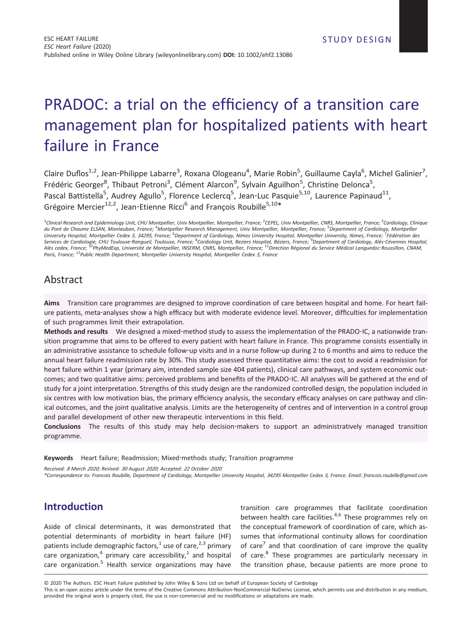# PRADOC: a trial on the efficiency of a transition care management plan for hospitalized patients with heart failure in France

Claire Duflos<sup>1,2</sup>, Jean-Philippe Labarre<sup>3</sup>, Roxana Ologeanu<sup>4</sup>, Marie Robin<sup>5</sup>, Guillaume Cayla<sup>6</sup>, Michel Galinier<sup>7</sup>, Frédéric Georger<sup>8</sup>, Thibaut Petroni<sup>3</sup>, Clément Alarcon<sup>9</sup>, Sylvain Aguilhon<sup>5</sup>, Christine Delonca<sup>5</sup>, Pascal Battistella<sup>5</sup>, Audrey Agullo<sup>5</sup>, Florence Leclercq<sup>5</sup>, Jean-Luc Pasquie<sup>5,10</sup>, Laurence Papinaud<sup>11</sup>, Grégoire Mercier<sup>12,2</sup>, Jean-Etienne Ricci<sup>6</sup> and François Roubille<sup>5,10\*</sup>

<sup>1</sup>Clinical Research and Epidemiology Unit, CHU Montpellier, Univ Montpellier, Montpellier, France; <sup>2</sup>CEPEL, Univ Montpellier, CNRS, Montpellier, France; <sup>3</sup>Cardiology, Clinique *du Pont de Chaume ELSAN, Montauban, France;* <sup>4</sup> *Montpellier Research Management, Univ Montpellier, Montpellier, France;* <sup>5</sup> *Department of Cardiology, Montpellier University Hospital, Montpellier Cedex <sup>5</sup>, <sup>34295</sup>, France;* <sup>6</sup> *Department of Cardiology, Nimes University Hospital, Montpellier University, Nimes, France;* <sup>7</sup> *Fédération des Services de Cardiologie, CHU Toulouse‐Rangueil, Toulouse, France;* <sup>8</sup> *Cardiology Unit, Beziers Hospital, Béziers, France;* <sup>9</sup> *Department of Cardiology, Alès‐Cévennes Hospital, Alès cedex, France;* <sup>10</sup>*PhyMedExp, Université de Montpellier, INSERM, CNRS, Montpellier, France;* <sup>11</sup>*Direction Régional du Service Médical Languedoc‐Roussillon, CNAM, Paris, France;* <sup>12</sup>*Public Health Department, Montpellier University Hospital, Montpellier Cedex <sup>5</sup>, France*

## Abstract

**Aims** Transition care programmes are designed to improve coordination of care between hospital and home. For heart failure patients, meta-analyses show a high efficacy but with moderate evidence level. Moreover, difficulties for implementation of such programmes limit their extrapolation.

**Methods and results** We designed a mixed‐method study to assess the implementation of the PRADO‐IC, a nationwide transition programme that aims to be offered to every patient with heart failure in France. This programme consists essentially in an administrative assistance to schedule follow‐up visits and in a nurse follow‐up during 2 to 6 months and aims to reduce the annual heart failure readmission rate by 30%. This study assessed three quantitative aims: the cost to avoid a readmission for heart failure within 1 year (primary aim, intended sample size 404 patients), clinical care pathways, and system economic outcomes; and two qualitative aims: perceived problems and benefits of the PRADO‐IC. All analyses will be gathered at the end of study for a joint interpretation. Strengths of this study design are the randomized controlled design, the population included in six centres with low motivation bias, the primary efficiency analysis, the secondary efficacy analyses on care pathway and clinical outcomes, and the joint qualitative analysis. Limits are the heterogeneity of centres and of intervention in a control group and parallel development of other new therapeutic interventions in this field.

**Conclusions** The results of this study may help decision‐makers to support an administratively managed transition programme.

**Keywords** Heart failure; Readmission; Mixed‐methods study; Transition programme

*Received: <sup>8</sup> March <sup>2020</sup>; Revised: <sup>30</sup> August <sup>2020</sup>; Accepted: <sup>22</sup> October <sup>2020</sup>*

*\*Correspondence to: Francois Roubille, Department of Cardiology, Montpellier University Hospital, <sup>34295</sup> Montpellier Cedex <sup>5</sup>, France. Email: [francois.roubille@gmail.com](mailto:francois.roubille@gmail.com)*

## **Introduction**

Aside of clinical determinants, it was demonstrated that potential determinants of morbidity in heart failure (HF) patients include demographic factors,<sup>1</sup> use of care,<sup>2,3</sup> primary care organization,<sup>4</sup> primary care accessibility,<sup>1</sup> and hospital care organization.<sup>5</sup> Health service organizations may have

transition care programmes that facilitate coordination between health care facilities.<sup>4,6</sup> These programmes rely on the conceptual framework of coordination of care, which assumes that informational continuity allows for coordination of care<sup>7</sup> and that coordination of care improve the quality of care.<sup>8</sup> These programmes are particularly necessary in the transition phase, because patients are more prone to

© 2020 The Authors. ESC Heart Failure published by John Wiley & Sons Ltd on behalf of European Society of Cardiology

This is an open access article under the terms of the [Creative Commons Attribution](http://creativecommons.org/licenses/by-nc-nd/4.0/)‐NonCommercial‐NoDerivs License, which permits use and distribution in any medium, provided the original work is properly cited, the use is non-commercial and no modifications or adaptations are made.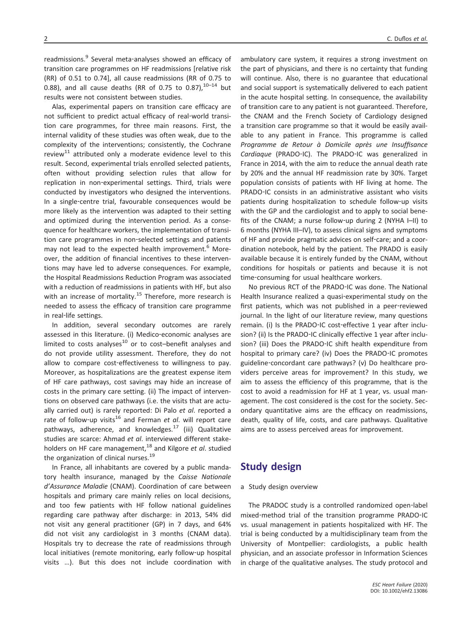readmissions.<sup>9</sup> Several meta-analyses showed an efficacy of transition care programmes on HF readmissions [relative risk (RR) of 0.51 to 0.74], all cause readmissions (RR of 0.75 to 0.88), and all cause deaths (RR of 0.75 to 0.87),  $10-14$  but results were not consistent between studies.

Alas, experimental papers on transition care efficacy are not sufficient to predict actual efficacy of real‐world transition care programmes, for three main reasons. First, the internal validity of these studies was often weak, due to the complexity of the interventions; consistently, the Cochrane review<sup>11</sup> attributed only a moderate evidence level to this result. Second, experimental trials enrolled selected patients, often without providing selection rules that allow for replication in non‐experimental settings. Third, trials were conducted by investigators who designed the interventions. In a single‐centre trial, favourable consequences would be more likely as the intervention was adapted to their setting and optimized during the intervention period. As a consequence for healthcare workers, the implementation of transition care programmes in non‐selected settings and patients may not lead to the expected health improvement.<sup>6</sup> Moreover, the addition of financial incentives to these interventions may have led to adverse consequences. For example, the Hospital Readmissions Reduction Program was associated with a reduction of readmissions in patients with HF, but also with an increase of mortality.<sup>15</sup> Therefore, more research is needed to assess the efficacy of transition care programme in real‐life settings.

In addition, several secondary outcomes are rarely assessed in this literature. (i) Medico-economic analyses are limited to costs analyses $^{10}$  or to cost-benefit analyses and do not provide utility assessment. Therefore, they do not allow to compare cost-effectiveness to willingness to pay. Moreover, as hospitalizations are the greatest expense item of HF care pathways, cost savings may hide an increase of costs in the primary care setting. (ii) The impact of interventions on observed care pathways (i.e. the visits that are actually carried out) is rarely reported: Di Palo *et al*. reported a rate of follow-up visits<sup>16</sup> and Ferman et al. will report care pathways, adherence, and knowledges. $17$  (iii) Qualitative studies are scarce: Ahmad *et al*. interviewed different stakeholders on HF care management,<sup>18</sup> and Kilgore *et al.* studied the organization of clinical nurses.<sup>19</sup>

In France, all inhabitants are covered by a public mandatory health insurance, managed by the *Caisse Nationale d'Assurance Maladie* (CNAM). Coordination of care between hospitals and primary care mainly relies on local decisions, and too few patients with HF follow national guidelines regarding care pathway after discharge: in 2013, 54% did not visit any general practitioner (GP) in 7 days, and 64% did not visit any cardiologist in 3 months (CNAM data). Hospitals try to decrease the rate of readmissions through local initiatives (remote monitoring, early follow‐up hospital visits …). But this does not include coordination with ambulatory care system, it requires a strong investment on the part of physicians, and there is no certainty that funding will continue. Also, there is no guarantee that educational and social support is systematically delivered to each patient in the acute hospital setting. In consequence, the availability of transition care to any patient is not guaranteed. Therefore, the CNAM and the French Society of Cardiology designed a transition care programme so that it would be easily available to any patient in France. This programme is called *Programme de Retour à Domicile après une Insuffisance Cardiaque* (PRADO‐IC). The PRADO‐IC was generalized in France in 2014, with the aim to reduce the annual death rate by 20% and the annual HF readmission rate by 30%. Target population consists of patients with HF living at home. The PRADO‐IC consists in an administrative assistant who visits patients during hospitalization to schedule follow-up visits with the GP and the cardiologist and to apply to social benefits of the CNAM; a nurse follow-up during 2 (NYHA I-II) to 6 months (NYHA III–IV), to assess clinical signs and symptoms of HF and provide pragmatic advices on self‐care; and a coordination notebook, held by the patient. The PRADO is easily available because it is entirely funded by the CNAM, without conditions for hospitals or patients and because it is not time‐consuming for usual healthcare workers.

No previous RCT of the PRADO‐IC was done. The National Health Insurance realized a quasi-experimental study on the first patients, which was not published in a peer-reviewed journal. In the light of our literature review, many questions remain. (i) Is the PRADO-IC cost-effective 1 year after inclusion? (ii) Is the PRADO-IC clinically effective 1 year after inclusion? (iii) Does the PRADO-IC shift health expenditure from hospital to primary care? (iv) Does the PRADO‐IC promotes guideline‐concordant care pathways? (v) Do healthcare providers perceive areas for improvement? In this study, we aim to assess the efficiency of this programme, that is the cost to avoid a readmission for HF at 1 year, vs. usual management. The cost considered is the cost for the society. Secondary quantitative aims are the efficacy on readmissions, death, quality of life, costs, and care pathways. Qualitative aims are to assess perceived areas for improvement.

### **Study design**

#### a Study design overview

The PRADOC study is a controlled randomized open‐label mixed‐method trial of the transition programme PRADO‐IC vs. usual management in patients hospitalized with HF. The trial is being conducted by a multidisciplinary team from the University of Montpellier: cardiologists, a public health physician, and an associate professor in Information Sciences in charge of the qualitative analyses. The study protocol and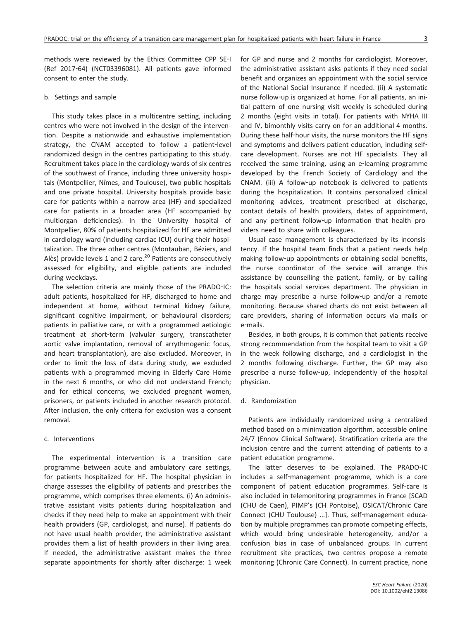methods were reviewed by the Ethics Committee CPP SE‐I (Ref 2017‐64) (NCT03396081). All patients gave informed consent to enter the study.

#### b. Settings and sample

This study takes place in a multicentre setting, including centres who were not involved in the design of the intervention. Despite a nationwide and exhaustive implementation strategy, the CNAM accepted to follow a patient‐level randomized design in the centres participating to this study. Recruitment takes place in the cardiology wards of six centres of the southwest of France, including three university hospitals (Montpellier, Nîmes, and Toulouse), two public hospitals and one private hospital. University hospitals provide basic care for patients within a narrow area (HF) and specialized care for patients in a broader area (HF accompanied by multiorgan deficiencies). In the University hospital of Montpellier, 80% of patients hospitalized for HF are admitted in cardiology ward (including cardiac ICU) during their hospitalization. The three other centres (Montauban, Béziers, and Alès) provide levels 1 and 2 care. $^{20}$  Patients are consecutively assessed for eligibility, and eligible patients are included during weekdays.

The selection criteria are mainly those of the PRADO‐IC: adult patients, hospitalized for HF, discharged to home and independent at home, without terminal kidney failure, significant cognitive impairment, or behavioural disorders; patients in palliative care, or with a programmed aetiologic treatment at short‐term (valvular surgery, transcatheter aortic valve implantation, removal of arrythmogenic focus, and heart transplantation), are also excluded. Moreover, in order to limit the loss of data during study, we excluded patients with a programmed moving in Elderly Care Home in the next 6 months, or who did not understand French; and for ethical concerns, we excluded pregnant women, prisoners, or patients included in another research protocol. After inclusion, the only criteria for exclusion was a consent removal.

#### c. Interventions

The experimental intervention is a transition care programme between acute and ambulatory care settings, for patients hospitalized for HF. The hospital physician in charge assesses the eligibility of patients and prescribes the programme, which comprises three elements. (i) An administrative assistant visits patients during hospitalization and checks if they need help to make an appointment with their health providers (GP, cardiologist, and nurse). If patients do not have usual health provider, the administrative assistant provides them a list of health providers in their living area. If needed, the administrative assistant makes the three separate appointments for shortly after discharge: 1 week for GP and nurse and 2 months for cardiologist. Moreover, the administrative assistant asks patients if they need social benefit and organizes an appointment with the social service of the National Social Insurance if needed. (ii) A systematic nurse follow‐up is organized at home. For all patients, an initial pattern of one nursing visit weekly is scheduled during 2 months (eight visits in total). For patients with NYHA III and IV, bimonthly visits carry on for an additional 4 months. During these half‐hour visits, the nurse monitors the HF signs and symptoms and delivers patient education, including selfcare development. Nurses are not HF specialists. They all received the same training, using an e‐learning programme developed by the French Society of Cardiology and the CNAM. (iii) A follow‐up notebook is delivered to patients during the hospitalization. It contains personalized clinical monitoring advices, treatment prescribed at discharge, contact details of health providers, dates of appointment, and any pertinent follow-up information that health providers need to share with colleagues.

Usual case management is characterized by its inconsistency. If the hospital team finds that a patient needs help making follow-up appointments or obtaining social benefits, the nurse coordinator of the service will arrange this assistance by counselling the patient, family, or by calling the hospitals social services department. The physician in charge may prescribe a nurse follow‐up and/or a remote monitoring. Because shared charts do not exist between all care providers, sharing of information occurs via mails or e‐mails.

Besides, in both groups, it is common that patients receive strong recommendation from the hospital team to visit a GP in the week following discharge, and a cardiologist in the 2 months following discharge. Further, the GP may also prescribe a nurse follow-up, independently of the hospital physician.

#### d. Randomization

Patients are individually randomized using a centralized method based on a minimization algorithm, accessible online 24/7 (Ennov Clinical Software). Stratification criteria are the inclusion centre and the current attending of patients to a patient education programme.

The latter deserves to be explained. The PRADO‐IC includes a self‐management programme, which is a core component of patient education programmes. Self‐care is also included in telemonitoring programmes in France [SCAD (CHU de Caen), PIMP's (CH Pontoise), OSICAT/Chronic Care Connect (CHU Toulouse) …]. Thus, self‐management education by multiple programmes can promote competing effects, which would bring undesirable heterogeneity, and/or a confusion bias in case of unbalanced groups. In current recruitment site practices, two centres propose a remote monitoring (Chronic Care Connect). In current practice, none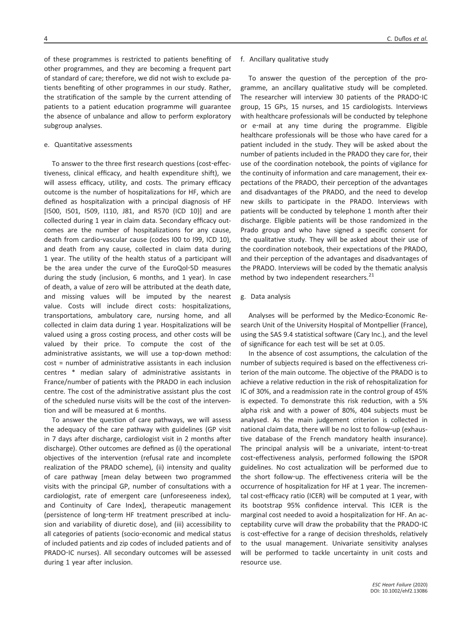#### e. Quantitative assessments

subgroup analyses.

To answer to the three first research questions (cost‐effectiveness, clinical efficacy, and health expenditure shift), we will assess efficacy, utility, and costs. The primary efficacy outcome is the number of hospitalizations for HF, which are defined as hospitalization with a principal diagnosis of HF [1500, 1501, 1509, 1110, J81, and R570 (ICD 10)] and are collected during 1 year in claim data. Secondary efficacy outcomes are the number of hospitalizations for any cause, death from cardio‐vascular cause (codes I00 to I99, ICD 10), and death from any cause, collected in claim data during 1 year. The utility of the health status of a participant will be the area under the curve of the EuroQol‐5D measures during the study (inclusion, 6 months, and 1 year). In case of death, a value of zero will be attributed at the death date, and missing values will be imputed by the nearest value. Costs will include direct costs: hospitalizations, transportations, ambulatory care, nursing home, and all collected in claim data during 1 year. Hospitalizations will be valued using a gross costing process, and other costs will be valued by their price. To compute the cost of the administrative assistants, we will use a top-down method: cost = number of administrative assistants in each inclusion centres \* median salary of administrative assistants in France/number of patients with the PRADO in each inclusion centre. The cost of the administrative assistant plus the cost of the scheduled nurse visits will be the cost of the intervention and will be measured at 6 months.

To answer the question of care pathways, we will assess the adequacy of the care pathway with guidelines (GP visit in 7 days after discharge, cardiologist visit in 2 months after discharge). Other outcomes are defined as (i) the operational objectives of the intervention (refusal rate and incomplete realization of the PRADO scheme), (ii) intensity and quality of care pathway [mean delay between two programmed visits with the principal GP, number of consultations with a cardiologist, rate of emergent care (unforeseeness index), and Continuity of Care Index], therapeutic management (persistence of long‐term HF treatment prescribed at inclusion and variability of diuretic dose), and (iii) accessibility to all categories of patients (socio‐economic and medical status of included patients and zip codes of included patients and of PRADO‐IC nurses). All secondary outcomes will be assessed during 1 year after inclusion.

#### f. Ancillary qualitative study

To answer the question of the perception of the programme, an ancillary qualitative study will be completed. The researcher will interview 30 patients of the PRADO‐IC group, 15 GPs, 15 nurses, and 15 cardiologists. Interviews with healthcare professionals will be conducted by telephone or e‐mail at any time during the programme. Eligible healthcare professionals will be those who have cared for a patient included in the study. They will be asked about the number of patients included in the PRADO they care for, their use of the coordination notebook, the points of vigilance for the continuity of information and care management, their expectations of the PRADO, their perception of the advantages and disadvantages of the PRADO, and the need to develop new skills to participate in the PRADO. Interviews with patients will be conducted by telephone 1 month after their discharge. Eligible patients will be those randomized in the Prado group and who have signed a specific consent for the qualitative study. They will be asked about their use of the coordination notebook, their expectations of the PRADO, and their perception of the advantages and disadvantages of the PRADO. Interviews will be coded by the thematic analysis method by two independent researchers.<sup>21</sup>

#### g. Data analysis

Analyses will be performed by the Medico‐Economic Research Unit of the University Hospital of Montpellier (France), using the SAS 9.4 statistical software (Cary Inc.), and the level of significance for each test will be set at 0.05.

In the absence of cost assumptions, the calculation of the number of subjects required is based on the effectiveness criterion of the main outcome. The objective of the PRADO is to achieve a relative reduction in the risk of rehospitalization for IC of 30%, and a readmission rate in the control group of 45% is expected. To demonstrate this risk reduction, with a 5% alpha risk and with a power of 80%, 404 subjects must be analysed. As the main judgement criterion is collected in national claim data, there will be no lost to follow‐up (exhaustive database of the French mandatory health insurance). The principal analysis will be a univariate, intent‐to‐treat cost-effectiveness analysis, performed following the ISPOR guidelines. No cost actualization will be performed due to the short follow‐up. The effectiveness criteria will be the occurrence of hospitalization for HF at 1 year. The incremental cost-efficacy ratio (ICER) will be computed at 1 year, with its bootstrap 95% confidence interval. This ICER is the marginal cost needed to avoid a hospitalization for HF. An acceptability curve will draw the probability that the PRADO‐IC is cost-effective for a range of decision thresholds, relatively to the usual management. Univariate sensitivity analyses will be performed to tackle uncertainty in unit costs and resource use.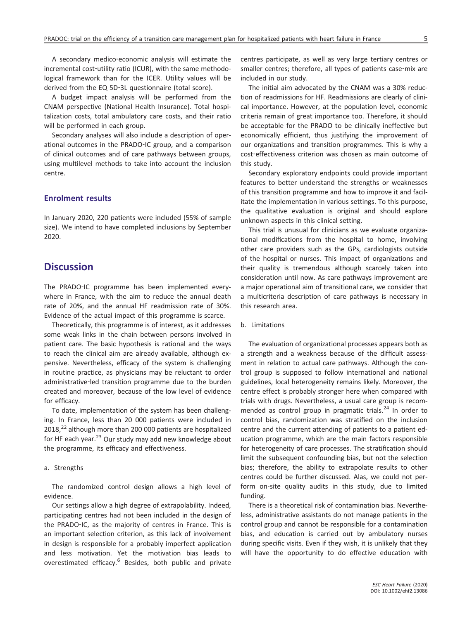A secondary medico‐economic analysis will estimate the incremental cost-utility ratio (ICUR), with the same methodological framework than for the ICER. Utility values will be derived from the EQ 5D‐3L questionnaire (total score).

A budget impact analysis will be performed from the CNAM perspective (National Health Insurance). Total hospitalization costs, total ambulatory care costs, and their ratio will be performed in each group.

Secondary analyses will also include a description of operational outcomes in the PRADO‐IC group, and a comparison of clinical outcomes and of care pathways between groups, using multilevel methods to take into account the inclusion centre.

#### **Enrolment results**

In January 2020, 220 patients were included (55% of sample size). We intend to have completed inclusions by September 2020.

## **Discussion**

The PRADO-IC programme has been implemented everywhere in France, with the aim to reduce the annual death rate of 20%, and the annual HF readmission rate of 30%. Evidence of the actual impact of this programme is scarce.

Theoretically, this programme is of interest, as it addresses some weak links in the chain between persons involved in patient care. The basic hypothesis is rational and the ways to reach the clinical aim are already available, although expensive. Nevertheless, efficacy of the system is challenging in routine practice, as physicians may be reluctant to order administrative‐led transition programme due to the burden created and moreover, because of the low level of evidence for efficacy.

To date, implementation of the system has been challenging. In France, less than 20 000 patients were included in 2018,<sup>22</sup> although more than 200 000 patients are hospitalized for HF each year.<sup>23</sup> Our study may add new knowledge about the programme, its efficacy and effectiveness.

#### a. Strengths

The randomized control design allows a high level of evidence.

Our settings allow a high degree of extrapolability. Indeed, participating centres had not been included in the design of the PRADO‐IC, as the majority of centres in France. This is an important selection criterion, as this lack of involvement in design is responsible for a probably imperfect application and less motivation. Yet the motivation bias leads to overestimated efficacy.<sup>6</sup> Besides, both public and private

centres participate, as well as very large tertiary centres or smaller centres; therefore, all types of patients case-mix are included in our study.

The initial aim advocated by the CNAM was a 30% reduction of readmissions for HF. Readmissions are clearly of clinical importance. However, at the population level, economic criteria remain of great importance too. Therefore, it should be acceptable for the PRADO to be clinically ineffective but economically efficient, thus justifying the improvement of our organizations and transition programmes. This is why a cost-effectiveness criterion was chosen as main outcome of this study.

Secondary exploratory endpoints could provide important features to better understand the strengths or weaknesses of this transition programme and how to improve it and facilitate the implementation in various settings. To this purpose, the qualitative evaluation is original and should explore unknown aspects in this clinical setting.

This trial is unusual for clinicians as we evaluate organizational modifications from the hospital to home, involving other care providers such as the GPs, cardiologists outside of the hospital or nurses. This impact of organizations and their quality is tremendous although scarcely taken into consideration until now. As care pathways improvement are a major operational aim of transitional care, we consider that a multicriteria description of care pathways is necessary in this research area.

#### b. Limitations

The evaluation of organizational processes appears both as a strength and a weakness because of the difficult assessment in relation to actual care pathways. Although the control group is supposed to follow international and national guidelines, local heterogeneity remains likely. Moreover, the centre effect is probably stronger here when compared with trials with drugs. Nevertheless, a usual care group is recommended as control group in pragmatic trials.<sup>24</sup> In order to control bias, randomization was stratified on the inclusion centre and the current attending of patients to a patient education programme, which are the main factors responsible for heterogeneity of care processes. The stratification should limit the subsequent confounding bias, but not the selection bias; therefore, the ability to extrapolate results to other centres could be further discussed. Alas, we could not perform on-site quality audits in this study, due to limited funding.

There is a theoretical risk of contamination bias. Nevertheless, administrative assistants do not manage patients in the control group and cannot be responsible for a contamination bias, and education is carried out by ambulatory nurses during specific visits. Even if they wish, it is unlikely that they will have the opportunity to do effective education with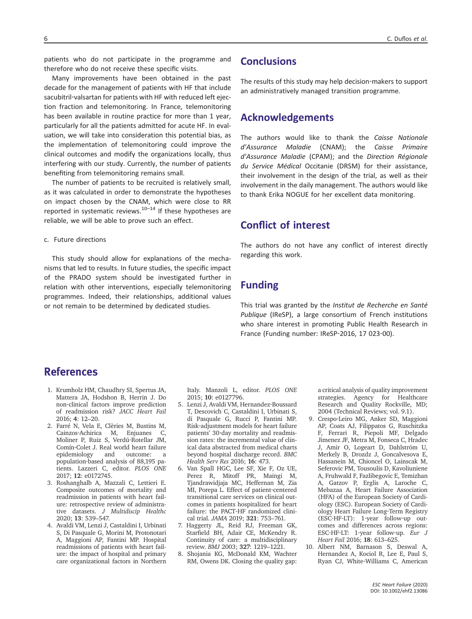patients who do not participate in the programme and therefore who do not receive these specific visits.

Many improvements have been obtained in the past decade for the management of patients with HF that include sacubitril-valsartan for patients with HF with reduced left ejection fraction and telemonitoring. In France, telemonitoring has been available in routine practice for more than 1 year, particularly for all the patients admitted for acute HF. In evaluation, we will take into consideration this potential bias, as the implementation of telemonitoring could improve the clinical outcomes and modify the organizations locally, thus interfering with our study. Currently, the number of patients benefiting from telemonitoring remains small.

The number of patients to be recruited is relatively small, as it was calculated in order to demonstrate the hypotheses on impact chosen by the CNAM, which were close to RR reported in systematic reviews. $10-14$  If these hypotheses are reliable, we will be able to prove such an effect.

c. Future directions

This study should allow for explanations of the mechanisms that led to results. In future studies, the specific impact of the PRADO system should be investigated further in relation with other interventions, especially telemonitoring programmes. Indeed, their relationships, additional values or not remain to be determined by dedicated studies.

## **Conclusions**

The results of this study may help decision‐makers to support an administratively managed transition programme.

## **Acknowledgements**

The authors would like to thank the *Caisse Nationale d'Assurance Maladie* (CNAM); the *Caisse Primaire d'Assurance Maladie* (CPAM); and the *Direction Régionale du Service Médical* Occitanie (DRSM) for their assistance, their involvement in the design of the trial, as well as their involvement in the daily management. The authors would like to thank Erika NOGUE for her excellent data monitoring.

## **Conflict of interest**

The authors do not have any conflict of interest directly regarding this work.

## **Funding**

This trial was granted by the *Institut de Recherche en Santé Publique* (IReSP), a large consortium of French institutions who share interest in promoting Public Health Research in France (Funding number: IReSP‐2016, 17 023‐00).

## References

- 1. Krumholz HM, Chaudhry SI, Spertus JA, Mattera JA, Hodshon B, Herrin J. Do non‐clinical factors improve prediction of readmission risk? *JACC Heart Fail* 2016; **4**: 12–20.
- 2. Farré N, Vela E, Clèries M, Bustins M, Cainzos‐Achirica M, Enjuanes C, Moliner P, Ruiz S, Verdú‐Rotellar JM, Comín‐Colet J. Real world heart failure epidemiology and outcome: a population‐based analysis of 88,195 patients. Lazzeri C, editor. *PLOS ONE* 2017; **12**: e0172745.
- 3. Roshanghalb A, Mazzali C, Lettieri E. Composite outcomes of mortality and readmission in patients with heart failure: retrospective review of administrative datasets. *J Multidiscip Healthc* 2020; **13**: 539–547.
- 4. Avaldi VM, Lenzi J, Castaldini I, Urbinati S, Di Pasquale G, Morini M, Protonotari A, Maggioni AP, Fantini MP. Hospital readmissions of patients with heart failure: the impact of hospital and primary care organizational factors in Northern

Italy. Manzoli L, editor. *PLOS ONE* 2015; **10**: e0127796.

- 5. Lenzi J, Avaldi VM, Hernandez‐Boussard T, Descovich C, Castaldini I, Urbinati S, di Pasquale G, Rucci P, Fantini MP. Risk‐adjustment models for heart failure patients' 30‐day mortality and readmission rates: the incremental value of clinical data abstracted from medical charts beyond hospital discharge record. *BMC Health Serv Res* 2016; **16**: 473.
- 6. Van Spall HGC, Lee SF, Xie F, Oz UE, Perez R, Mitoff PR, Maingi M, Tjandrawidjaja MC, Heffernan M, Zia MI, Porepa L. Effect of patient‐centered transitional care services on clinical outcomes in patients hospitalized for heart failure: the PACT‐HF randomized clinical trial. *JAMA* 2019; **321**: 753–761.
- 7. Haggerty JL, Reid RJ, Freeman GK, Starfield BH, Adair CE, McKendry R. Continuity of care: a multidisciplinary review. *BMJ* 2003; **327**: 1219–1221.
- 8. Shojania KG, McDonald KM, Wachter RM, Owens DK. Closing the quality gap:

a critical analysis of quality improvement strategies. Agency for Healthcare Research and Quality Rockville, MD; 2004 (Technical Reviews; vol. 9.1).

- 9. Crespo‐Leiro MG, Anker SD, Maggioni AP, Coats AJ, Filippatos G, Ruschitzka F, Ferrari R, Piepoli MF, Delgado Jimenez JF, Metra M, Fonseca C, Hradec J, Amir O, Logeart D, Dahlström U, Merkely B, Drozdz J, Goncalvesova E, Hassanein M, Chioncel O, Lainscak M, Seferovic PM, Tousoulis D, Kavoliuniene A, Fruhwald F, Fazlibegovic E, Temizhan A, Gatzov P, Erglis A, Laroche C, Mebazaa A, Heart Failure Association (HFA) of the European Society of Cardiology (ESC). European Society of Cardiology Heart Failure Long‐Term Registry (ESC‐HF‐LT): 1‐year follow‐up outcomes and differences across regions: ESC‐HF‐LT: 1‐year follow‐up. *Eur J Heart Fail* 2016; **18**: 613–625.
- 10. Albert NM, Barnason S, Deswal A, Hernandez A, Kociol R, Lee E, Paul S, Ryan CJ, White‐Williams C, American